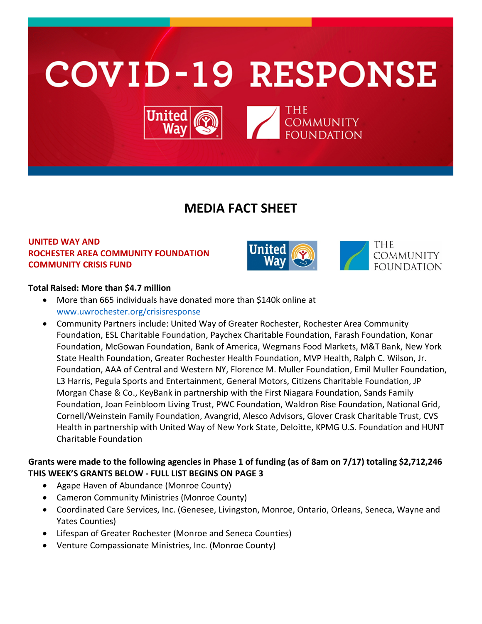

# **MEDIA FACT SHEET**

# **UNITED WAY AND ROCHESTER AREA COMMUNITY FOUNDATION COMMUNITY CRISIS FUND**



### **Total Raised: More than \$4.7 million**

- More than 665 individuals have donated more than \$140k online at [www.uwrochester.org/crisisresponse](http://www.uwrochester.org/crisisresponse)
- Community Partners include: United Way of Greater Rochester, Rochester Area Community Foundation, ESL Charitable Foundation, Paychex Charitable Foundation, Farash Foundation, Konar Foundation, McGowan Foundation, Bank of America, Wegmans Food Markets, M&T Bank, New York State Health Foundation, Greater Rochester Health Foundation, MVP Health, Ralph C. Wilson, Jr. Foundation, AAA of Central and Western NY, Florence M. Muller Foundation, Emil Muller Foundation, L3 Harris, Pegula Sports and Entertainment, General Motors, Citizens Charitable Foundation, JP Morgan Chase & Co., KeyBank in partnership with the First Niagara Foundation, Sands Family Foundation, Joan Feinbloom Living Trust, PWC Foundation, Waldron Rise Foundation, National Grid, Cornell/Weinstein Family Foundation, Avangrid, Alesco Advisors, Glover Crask Charitable Trust, CVS Health in partnership with United Way of New York State, Deloitte, KPMG U.S. Foundation and HUNT Charitable Foundation

# **Grants were made to the following agencies in Phase 1 of funding (as of 8am on 7/17) totaling \$2,712,246 THIS WEEK'S GRANTS BELOW - FULL LIST BEGINS ON PAGE 3**

- Agape Haven of Abundance (Monroe County)
- Cameron Community Ministries (Monroe County)
- Coordinated Care Services, Inc. (Genesee, Livingston, Monroe, Ontario, Orleans, Seneca, Wayne and Yates Counties)
- Lifespan of Greater Rochester (Monroe and Seneca Counties)
- Venture Compassionate Ministries, Inc. (Monroe County)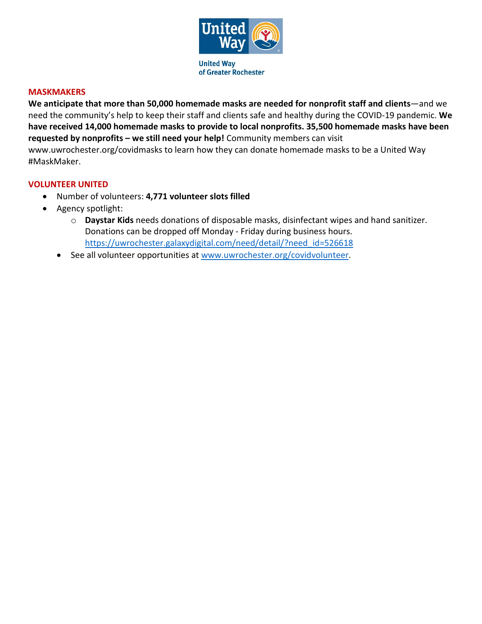

#### **MASKMAKERS**

**We anticipate that more than 50,000 homemade masks are needed for nonprofit staff and clients**—and we need the community's help to keep their staff and clients safe and healthy during the COVID-19 pandemic. **We have received 14,000 homemade masks to provide to local nonprofits. 35,500 homemade masks have been requested by nonprofits – we still need your help!** Community members can visit www.uwrochester.org/covidmasks to learn how they can donate homemade masks to be a United Way #MaskMaker.

#### **VOLUNTEER UNITED**

- Number of volunteers: **4,771 volunteer slots filled**
- Agency spotlight:
	- o **Daystar Kids** needs donations of disposable masks, disinfectant wipes and hand sanitizer. Donations can be dropped off Monday - Friday during business hours. [https://uwrochester.galaxydigital.com/need/detail/?need\\_id=526618](https://uwrochester.galaxydigital.com/need/detail/?need_id=526618)
	- See all volunteer opportunities at [www.uwrochester.org/covidvolunteer.](http://www.uwrochester.org/covidvolunteer)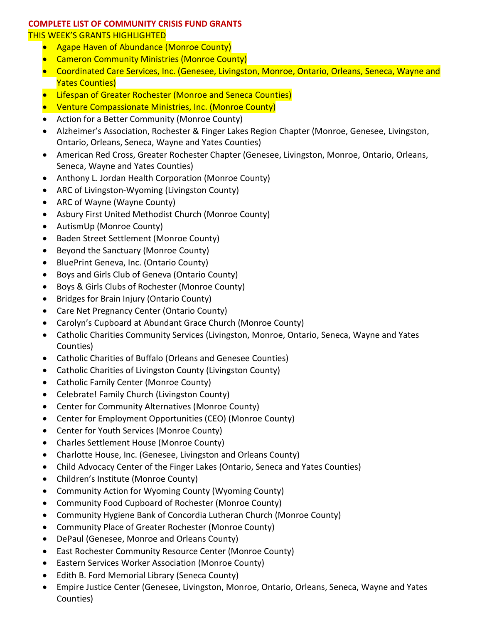# **COMPLETE LIST OF COMMUNITY CRISIS FUND GRANTS**

#### THIS WEEK'S GRANTS HIGHLIGHTED

- Agape Haven of Abundance (Monroe County)
- Cameron Community Ministries (Monroe County)
- Coordinated Care Services, Inc. (Genesee, Livingston, Monroe, Ontario, Orleans, Seneca, Wayne and Yates Counties)
- Lifespan of Greater Rochester (Monroe and Seneca Counties)
- Venture Compassionate Ministries, Inc. (Monroe County)
- Action for a Better Community (Monroe County)
- Alzheimer's Association, Rochester & Finger Lakes Region Chapter (Monroe, Genesee, Livingston, Ontario, Orleans, Seneca, Wayne and Yates Counties)
- American Red Cross, Greater Rochester Chapter (Genesee, Livingston, Monroe, Ontario, Orleans, Seneca, Wayne and Yates Counties)
- Anthony L. Jordan Health Corporation (Monroe County)
- ARC of Livingston-Wyoming (Livingston County)
- ARC of Wayne (Wayne County)
- Asbury First United Methodist Church (Monroe County)
- AutismUp (Monroe County)
- Baden Street Settlement (Monroe County)
- Beyond the Sanctuary (Monroe County)
- BluePrint Geneva, Inc. (Ontario County)
- Boys and Girls Club of Geneva (Ontario County)
- Boys & Girls Clubs of Rochester (Monroe County)
- Bridges for Brain Injury (Ontario County)
- Care Net Pregnancy Center (Ontario County)
- Carolyn's Cupboard at Abundant Grace Church (Monroe County)
- Catholic Charities Community Services (Livingston, Monroe, Ontario, Seneca, Wayne and Yates Counties)
- Catholic Charities of Buffalo (Orleans and Genesee Counties)
- Catholic Charities of Livingston County (Livingston County)
- Catholic Family Center (Monroe County)
- Celebrate! Family Church (Livingston County)
- Center for Community Alternatives (Monroe County)
- Center for Employment Opportunities (CEO) (Monroe County)
- Center for Youth Services (Monroe County)
- Charles Settlement House (Monroe County)
- Charlotte House, Inc. (Genesee, Livingston and Orleans County)
- Child Advocacy Center of the Finger Lakes (Ontario, Seneca and Yates Counties)
- Children's Institute (Monroe County)
- Community Action for Wyoming County (Wyoming County)
- Community Food Cupboard of Rochester (Monroe County)
- Community Hygiene Bank of Concordia Lutheran Church (Monroe County)
- Community Place of Greater Rochester (Monroe County)
- DePaul (Genesee, Monroe and Orleans County)
- East Rochester Community Resource Center (Monroe County)
- Eastern Services Worker Association (Monroe County)
- Edith B. Ford Memorial Library (Seneca County)
- Empire Justice Center (Genesee, Livingston, Monroe, Ontario, Orleans, Seneca, Wayne and Yates Counties)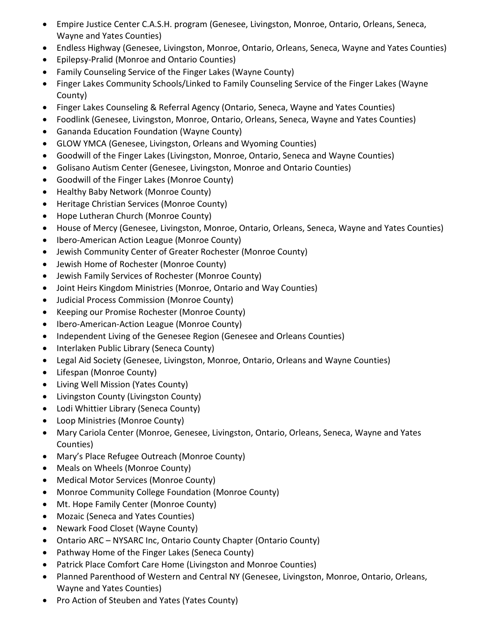- Empire Justice Center C.A.S.H. program (Genesee, Livingston, Monroe, Ontario, Orleans, Seneca, Wayne and Yates Counties)
- Endless Highway (Genesee, Livingston, Monroe, Ontario, Orleans, Seneca, Wayne and Yates Counties)
- Epilepsy-Pralid (Monroe and Ontario Counties)
- Family Counseling Service of the Finger Lakes (Wayne County)
- Finger Lakes Community Schools/Linked to Family Counseling Service of the Finger Lakes (Wayne County)
- Finger Lakes Counseling & Referral Agency (Ontario, Seneca, Wayne and Yates Counties)
- Foodlink (Genesee, Livingston, Monroe, Ontario, Orleans, Seneca, Wayne and Yates Counties)
- Gananda Education Foundation (Wayne County)
- GLOW YMCA (Genesee, Livingston, Orleans and Wyoming Counties)
- Goodwill of the Finger Lakes (Livingston, Monroe, Ontario, Seneca and Wayne Counties)
- Golisano Autism Center (Genesee, Livingston, Monroe and Ontario Counties)
- Goodwill of the Finger Lakes (Monroe County)
- Healthy Baby Network (Monroe County)
- Heritage Christian Services (Monroe County)
- Hope Lutheran Church (Monroe County)
- House of Mercy (Genesee, Livingston, Monroe, Ontario, Orleans, Seneca, Wayne and Yates Counties)
- Ibero-American Action League (Monroe County)
- Jewish Community Center of Greater Rochester (Monroe County)
- Jewish Home of Rochester (Monroe County)
- Jewish Family Services of Rochester (Monroe County)
- Joint Heirs Kingdom Ministries (Monroe, Ontario and Way Counties)
- Judicial Process Commission (Monroe County)
- Keeping our Promise Rochester (Monroe County)
- Ibero-American-Action League (Monroe County)
- Independent Living of the Genesee Region (Genesee and Orleans Counties)
- Interlaken Public Library (Seneca County)
- Legal Aid Society (Genesee, Livingston, Monroe, Ontario, Orleans and Wayne Counties)
- Lifespan (Monroe County)
- Living Well Mission (Yates County)
- Livingston County (Livingston County)
- Lodi Whittier Library (Seneca County)
- Loop Ministries (Monroe County)
- Mary Cariola Center (Monroe, Genesee, Livingston, Ontario, Orleans, Seneca, Wayne and Yates Counties)
- Mary's Place Refugee Outreach (Monroe County)
- Meals on Wheels (Monroe County)
- Medical Motor Services (Monroe County)
- Monroe Community College Foundation (Monroe County)
- Mt. Hope Family Center (Monroe County)
- Mozaic (Seneca and Yates Counties)
- Newark Food Closet (Wayne County)
- Ontario ARC NYSARC Inc, Ontario County Chapter (Ontario County)
- Pathway Home of the Finger Lakes (Seneca County)
- Patrick Place Comfort Care Home (Livingston and Monroe Counties)
- Planned Parenthood of Western and Central NY (Genesee, Livingston, Monroe, Ontario, Orleans, Wayne and Yates Counties)
- Pro Action of Steuben and Yates (Yates County)